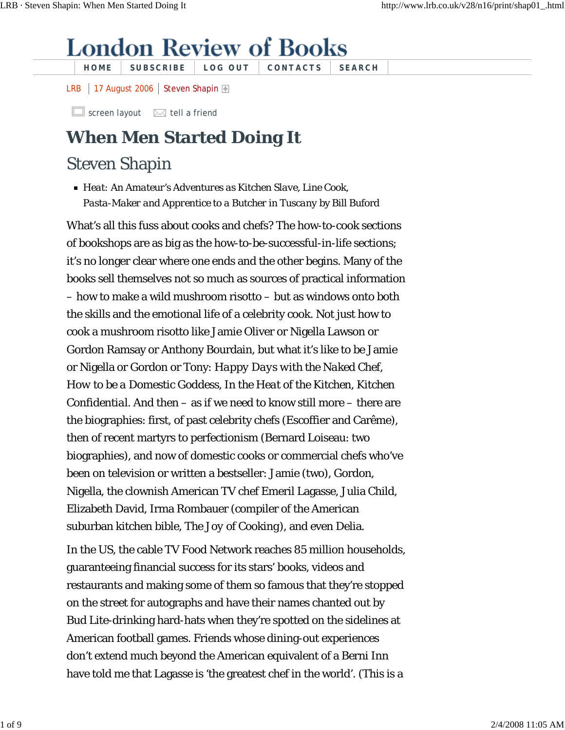## **London Review of Books**

**HOME SUBSCRIBE LOG OUT CONTACTS SEARCH**

LRB | 17 August 2006 | Steven Shapin

 $\Box$  screen layout  $\boxtimes$  tell a friend

## **When Men Started Doing It**

## Steven Shapin

*Heat: An Amateur's Adventures as Kitchen Slave, Line Cook, Pasta-Maker and Apprentice to a Butcher in Tuscany* by Bill Buford

What's all this fuss about cooks and chefs? The how-to-cook sections of bookshops are as big as the how-to-be-successful-in-life sections; it's no longer clear where one ends and the other begins. Many of the books sell themselves not so much as sources of practical information – how to make a wild mushroom risotto – but as windows onto both the skills and the emotional life of a celebrity cook. Not just how to cook a mushroom risotto like Jamie Oliver or Nigella Lawson or Gordon Ramsay or Anthony Bourdain, but what it's like to be Jamie or Nigella or Gordon or Tony: *Happy Days with the Naked Chef*, *How to be a Domestic Goddess*, *In the Heat of the Kitchen*, *Kitchen Confidential*. And then – as if we need to know still more – there are the biographies: first, of past celebrity chefs (Escoffier and Carême), then of recent martyrs to perfectionism (Bernard Loiseau: two biographies), and now of domestic cooks or commercial chefs who've been on television or written a bestseller: Jamie (two), Gordon, Nigella, the clownish American TV chef Emeril Lagasse, Julia Child, Elizabeth David, Irma Rombauer (compiler of the American suburban kitchen bible, *The Joy of Cooking*), and even Delia.

In the US, the cable TV Food Network reaches 85 million households, guaranteeing financial success for its stars' books, videos and restaurants and making some of them so famous that they're stopped on the street for autographs and have their names chanted out by Bud Lite-drinking hard-hats when they're spotted on the sidelines at American football games. Friends whose dining-out experiences don't extend much beyond the American equivalent of a Berni Inn have told me that Lagasse is 'the greatest chef in the world'. (This is a

1 of 9 2/4/2008 11:05 AM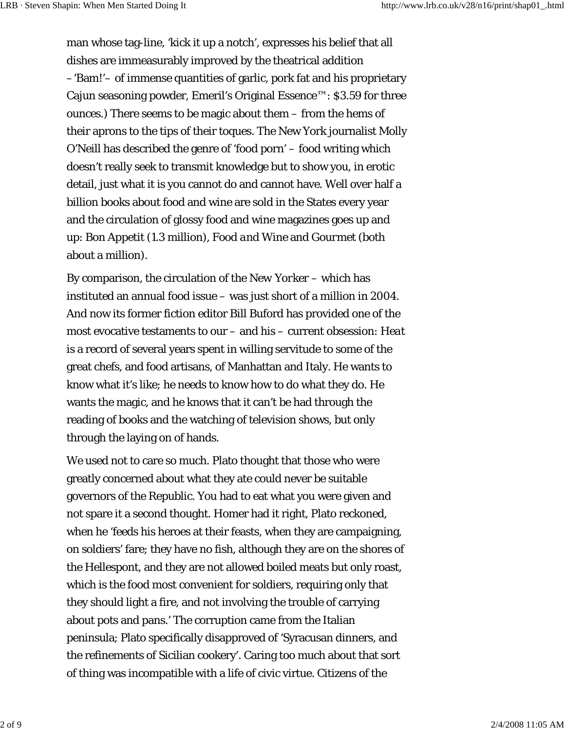man whose tag-line, 'kick it up a notch', expresses his belief that all dishes are immeasurably improved by the theatrical addition –'Bam!'– of immense quantities of garlic, pork fat and his proprietary Cajun seasoning powder, Emeril's Original Essence™: \$3.59 for three ounces.) There seems to be magic about them – from the hems of their aprons to the tips of their toques. The New York journalist Molly O'Neill has described the genre of 'food porn' – food writing which doesn't really seek to transmit knowledge but to show you, in erotic detail, just what it is you cannot do and cannot have. Well over half a billion books about food and wine are sold in the States every year and the circulation of glossy food and wine magazines goes up and up: *Bon Appetit* (1.3 million), *Food and Wine* and *Gourmet* (both about a million).

By comparison, the circulation of the *New Yorker* – which has instituted an annual food issue – was just short of a million in 2004. And now its former fiction editor Bill Buford has provided one of the most evocative testaments to our – and his – current obsession: *Heat* is a record of several years spent in willing servitude to some of the great chefs, and food artisans, of Manhattan and Italy. He wants to know what it's like; he needs to know how to do what they do. He wants the magic, and he knows that it can't be had through the reading of books and the watching of television shows, but only through the laying on of hands.

We used not to care so much. Plato thought that those who were greatly concerned about what they ate could never be suitable governors of the Republic. You had to eat what you were given and not spare it a second thought. Homer had it right, Plato reckoned, when he 'feeds his heroes at their feasts, when they are campaigning, on soldiers' fare; they have no fish, although they are on the shores of the Hellespont, and they are not allowed boiled meats but only roast, which is the food most convenient for soldiers, requiring only that they should light a fire, and not involving the trouble of carrying about pots and pans.' The corruption came from the Italian peninsula; Plato specifically disapproved of 'Syracusan dinners, and the refinements of Sicilian cookery'. Caring too much about that sort of thing was incompatible with a life of civic virtue. Citizens of the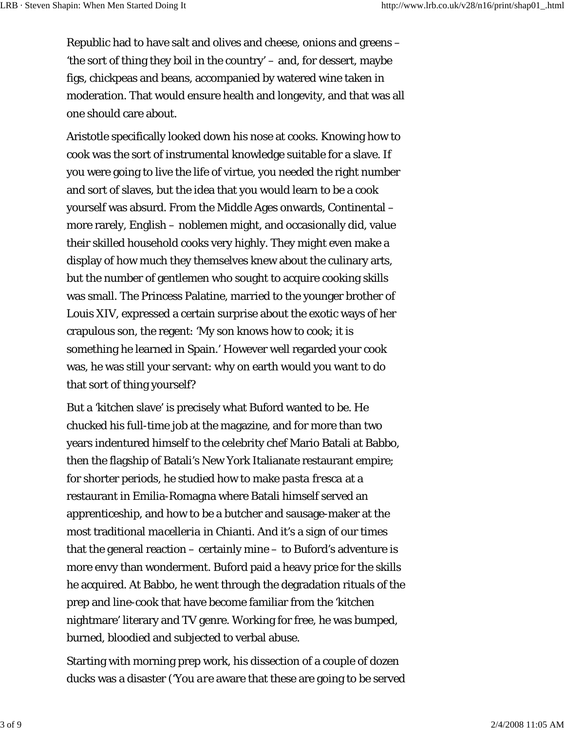Republic had to have salt and olives and cheese, onions and greens – 'the sort of thing they boil in the country' – and, for dessert, maybe figs, chickpeas and beans, accompanied by watered wine taken in moderation. That would ensure health and longevity, and that was all one should care about.

Aristotle specifically looked down his nose at cooks. Knowing how to cook was the sort of instrumental knowledge suitable for a slave. If you were going to live the life of virtue, you needed the right number and sort of slaves, but the idea that you would learn to be a cook yourself was absurd. From the Middle Ages onwards, Continental – more rarely, English – noblemen might, and occasionally did, value their skilled household cooks very highly. They might even make a display of how much they themselves knew about the culinary arts, but the number of gentlemen who sought to acquire cooking skills was small. The Princess Palatine, married to the younger brother of Louis XIV, expressed a certain surprise about the exotic ways of her crapulous son, the regent: 'My son knows how to cook; it is something he learned in Spain.' However well regarded your cook was, he was still your servant: why on earth would you want to do that sort of thing yourself?

But a 'kitchen slave' is precisely what Buford wanted to be. He chucked his full-time job at the magazine, and for more than two years indentured himself to the celebrity chef Mario Batali at Babbo, then the flagship of Batali's New York Italianate restaurant empire; for shorter periods, he studied how to make *pasta fresca* at a restaurant in Emilia-Romagna where Batali himself served an apprenticeship, and how to be a butcher and sausage-maker at the most traditional *macelleria* in Chianti. And it's a sign of our times that the general reaction – certainly mine – to Buford's adventure is more envy than wonderment. Buford paid a heavy price for the skills he acquired. At Babbo, he went through the degradation rituals of the prep and line-cook that have become familiar from the 'kitchen nightmare' literary and TV genre. Working for free, he was bumped, burned, bloodied and subjected to verbal abuse.

Starting with morning prep work, his dissection of a couple of dozen ducks was a disaster ('You *are* aware that these are going to be served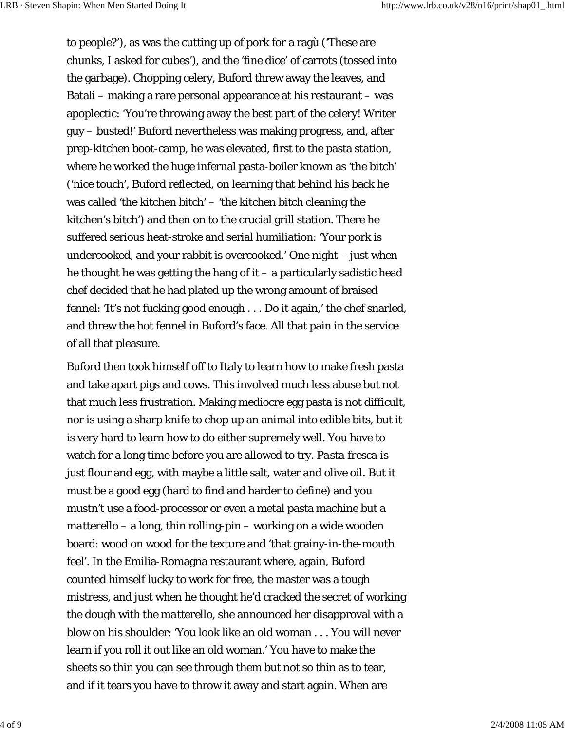to people?'), as was the cutting up of pork for a ragù ('These are chunks, I asked for cubes'), and the 'fine dice' of carrots (tossed into the garbage). Chopping celery, Buford threw away the leaves, and Batali – making a rare personal appearance at his restaurant – was apoplectic: 'You're throwing away the best part of the celery! Writer guy – busted!' Buford nevertheless was making progress, and, after prep-kitchen boot-camp, he was elevated, first to the pasta station, where he worked the huge infernal pasta-boiler known as 'the bitch' ('nice touch', Buford reflected, on learning that behind his back he was called 'the kitchen bitch' – 'the kitchen bitch cleaning the kitchen's bitch') and then on to the crucial grill station. There he suffered serious heat-stroke and serial humiliation: 'Your pork is undercooked, and your rabbit is overcooked.' One night – just when he thought he was getting the hang of  $i - a$  particularly sadistic head chef decided that he had plated up the wrong amount of braised fennel: 'It's not fucking good enough . . . Do it again,' the chef snarled, and threw the hot fennel in Buford's face. All that pain in the service of all that pleasure.

Buford then took himself off to Italy to learn how to make fresh pasta and take apart pigs and cows. This involved much less abuse but not that much less frustration. Making mediocre egg pasta is not difficult, nor is using a sharp knife to chop up an animal into edible bits, but it is very hard to learn how to do either supremely well. You have to watch for a long time before you are allowed to try. *Pasta fresca* is just flour and egg, with maybe a little salt, water and olive oil. But it must be a good egg (hard to find and harder to define) and you mustn't use a food-processor or even a metal pasta machine but a *matterello* – a long, thin rolling-pin – working on a wide wooden board: wood on wood for the texture and 'that grainy-in-the-mouth feel'. In the Emilia-Romagna restaurant where, again, Buford counted himself lucky to work for free, the master was a tough mistress, and just when he thought he'd cracked the secret of working the dough with the *matterello*, she announced her disapproval with a blow on his shoulder: 'You look like an old woman . . . You will never learn if you roll it out like an old woman.' You have to make the sheets so thin you can see through them but not so thin as to tear, and if it tears you have to throw it away and start again. When are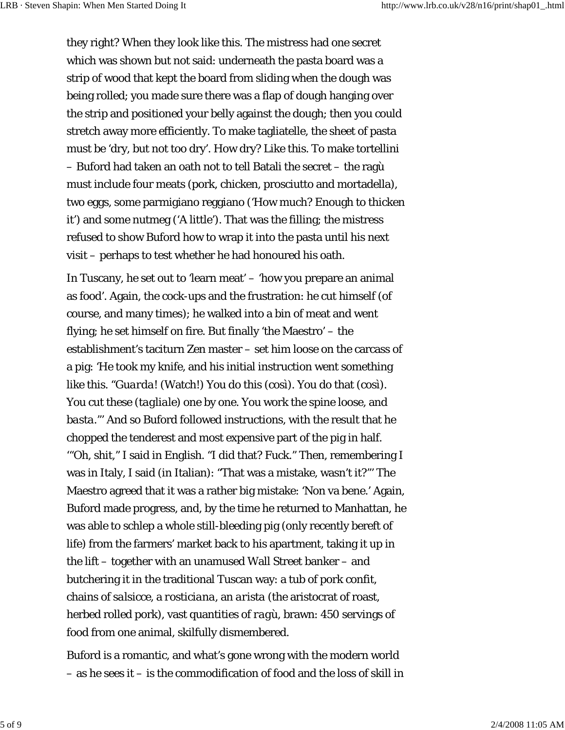they right? When they look like *this*. The mistress had one secret which was shown but not said: underneath the pasta board was a strip of wood that kept the board from sliding when the dough was being rolled; you made sure there was a flap of dough hanging over the strip and positioned your belly against the dough; then you could stretch away more efficiently. To make tagliatelle, the sheet of pasta must be 'dry, but not too dry'. How dry? Like *this*. To make tortellini – Buford had taken an oath not to tell Batali the secret – the ragù must include four meats (pork, chicken, prosciutto and mortadella), two eggs, some parmigiano reggiano ('How much? Enough to thicken it') and some nutmeg ('A little'). That was the filling; the mistress refused to show Buford how to wrap it into the pasta until his next visit – perhaps to test whether he had honoured his oath.

In Tuscany, he set out to 'learn meat' – 'how you prepare an animal as food'. Again, the cock-ups and the frustration: he cut himself (of course, and many times); he walked into a bin of meat and went flying; he set himself on fire. But finally 'the Maestro' – the establishment's taciturn Zen master – set him loose on the carcass of a pig: 'He took my knife, and his initial instruction went something like this. "*Guarda!* (Watch!) You do this (*così*). You do that (*così*). You cut these (*tagliale*) one by one. You work the spine loose, and *basta*."' And so Buford followed instructions, with the result that he chopped the tenderest and most expensive part of the pig in half. '"Oh, shit," I said in English. "I did that? Fuck." Then, remembering I was in Italy, I said (in Italian): "That was a mistake, wasn't it?"' The Maestro agreed that it was a rather big mistake: 'Non va bene.' Again, Buford made progress, and, by the time he returned to Manhattan, he was able to schlep a whole still-bleeding pig (only recently bereft of life) from the farmers' market back to his apartment, taking it up in the lift – together with an unamused Wall Street banker – and butchering it in the traditional Tuscan way: a tub of pork *confit*, chains of *salsicce*, a *rosticiana*, an *arista* (the aristocrat of roast, herbed rolled pork), vast quantities of *ragù*, brawn: 450 servings of food from one animal, skilfully dismembered.

Buford is a romantic, and what's gone wrong with the modern world – as he sees it – is the commodification of food and the loss of skill in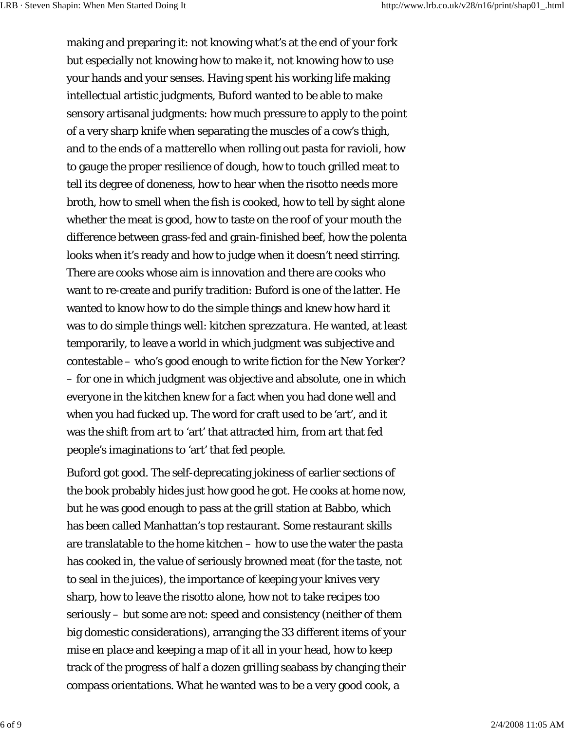making and preparing it: not knowing what's at the end of your fork but especially not knowing how to make it, not knowing how to use your hands and your senses. Having spent his working life making intellectual artistic judgments, Buford wanted to be able to make sensory artisanal judgments: how much pressure to apply to the point of a very sharp knife when separating the muscles of a cow's thigh, and to the ends of a *matterello* when rolling out pasta for ravioli, how to gauge the proper resilience of dough, how to touch grilled meat to tell its degree of doneness, how to hear when the risotto needs more broth, how to smell when the fish is cooked, how to tell by sight alone whether the meat is good, how to taste on the roof of your mouth the difference between grass-fed and grain-finished beef, how the polenta looks when it's ready and how to judge when it doesn't need stirring. There are cooks whose aim is innovation and there are cooks who want to re-create and purify tradition: Buford is one of the latter. He wanted to know how to do the simple things and knew how hard it was to do simple things well: kitchen *sprezzatura*. He wanted, at least temporarily, to leave a world in which judgment was subjective and contestable – who's good enough to write fiction for the *New Yorker*? – for one in which judgment was objective and absolute, one in which everyone in the kitchen knew for a fact when you had done well and when you had fucked up. The word for craft used to be 'art', and it was the shift from art to 'art' that attracted him, from art that fed people's imaginations to 'art' that fed people.

Buford got good. The self-deprecating jokiness of earlier sections of the book probably hides just how good he got. He cooks at home now, but he was good enough to pass at the grill station at Babbo, which has been called Manhattan's top restaurant. Some restaurant skills are translatable to the home kitchen – how to use the water the pasta has cooked in, the value of seriously browned meat (for the taste, not to seal in the juices), the importance of keeping your knives very sharp, how to leave the risotto alone, how not to take recipes too seriously – but some are not: speed and consistency (neither of them big domestic considerations), arranging the 33 different items of your *mise en place* and keeping a map of it all in your head, how to keep track of the progress of half a dozen grilling seabass by changing their compass orientations. What he wanted was to be a very good cook, a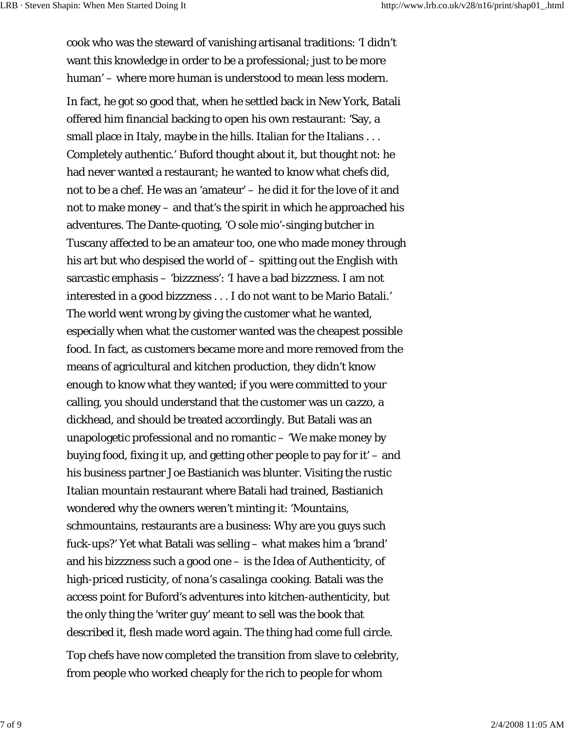cook who was the steward of vanishing artisanal traditions: 'I didn't want this knowledge in order to be a professional; just to be more human' – where more human is understood to mean less modern.

In fact, he got so good that, when he settled back in New York, Batali offered him financial backing to open his own restaurant: 'Say, a small place in Italy, maybe in the hills. Italian for the Italians . . . Completely authentic.' Buford thought about it, but thought not: he had never wanted a restaurant; he wanted to know what chefs did, not to be a chef. He was an 'amateur' – he did it for the love of it and not to make money – and that's the spirit in which he approached his adventures. The Dante-quoting, 'O sole mio'-singing butcher in Tuscany affected to be an amateur too, one who made money through his art but who despised the world of – spitting out the English with sarcastic emphasis – 'bizzzness': 'I have a bad bizzzness. I am not interested in a good bizzzness . . . I do not want to be Mario Batali.' The world went wrong by giving the customer what he wanted, especially when what the customer wanted was the cheapest possible food. In fact, as customers became more and more removed from the means of agricultural and kitchen production, they didn't know enough to know what they wanted; if you were committed to your calling, you should understand that the customer was *un cazzo*, a dickhead, and should be treated accordingly. But Batali was an unapologetic professional and no romantic – 'We make money by buying food, fixing it up, and getting other people to pay for it' – and his business partner Joe Bastianich was blunter. Visiting the rustic Italian mountain restaurant where Batali had trained, Bastianich wondered why the owners weren't minting it: 'Mountains, schmountains, restaurants are a business: Why are you guys such fuck-ups?' Yet what Batali was selling – what makes him a 'brand' and his bizzzness such a good one – is the Idea of Authenticity, of high-priced rusticity, of *nona*'s *casalinga* cooking. Batali was the access point for Buford's adventures into kitchen-authenticity, but the only thing the 'writer guy' meant to sell was the book that described it, flesh made word again. The thing had come full circle.

Top chefs have now completed the transition from slave to celebrity, from people who worked cheaply for the rich to people for whom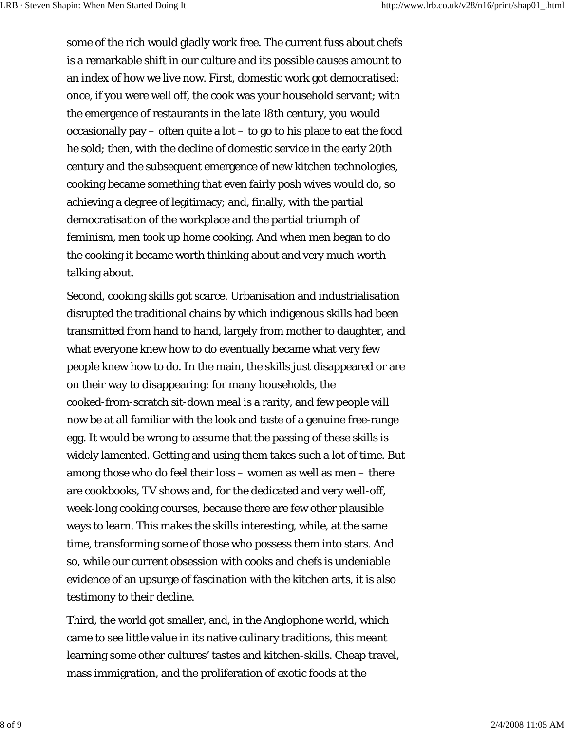some of the rich would gladly work free. The current fuss about chefs is a remarkable shift in our culture and its possible causes amount to an index of how we live now. First, domestic work got democratised: once, if you were well off, the cook was your household servant; with the emergence of restaurants in the late 18th century, you would occasionally pay – often quite a lot – to go to his place to eat the food he sold; then, with the decline of domestic service in the early 20th century and the subsequent emergence of new kitchen technologies, cooking became something that even fairly posh wives would do, so achieving a degree of legitimacy; and, finally, with the partial democratisation of the workplace and the partial triumph of feminism, men took up home cooking. And when men began to do the cooking it became worth thinking about and very much worth talking about.

Second, cooking skills got scarce. Urbanisation and industrialisation disrupted the traditional chains by which indigenous skills had been transmitted from hand to hand, largely from mother to daughter, and what everyone knew how to do eventually became what very few people knew how to do. In the main, the skills just disappeared or are on their way to disappearing: for many households, the cooked-from-scratch sit-down meal is a rarity, and few people will now be at all familiar with the look and taste of a genuine free-range egg. It would be wrong to assume that the passing of these skills is widely lamented. Getting and using them takes such a lot of time. But among those who do feel their loss – women as well as men – there are cookbooks, TV shows and, for the dedicated and very well-off, week-long cooking courses, because there are few other plausible ways to learn. This makes the skills interesting, while, at the same time, transforming some of those who possess them into stars. And so, while our current obsession with cooks and chefs is undeniable evidence of an upsurge of fascination with the kitchen arts, it is also testimony to their decline.

Third, the world got smaller, and, in the Anglophone world, which came to see little value in its native culinary traditions, this meant learning some other cultures' tastes and kitchen-skills. Cheap travel, mass immigration, and the proliferation of exotic foods at the